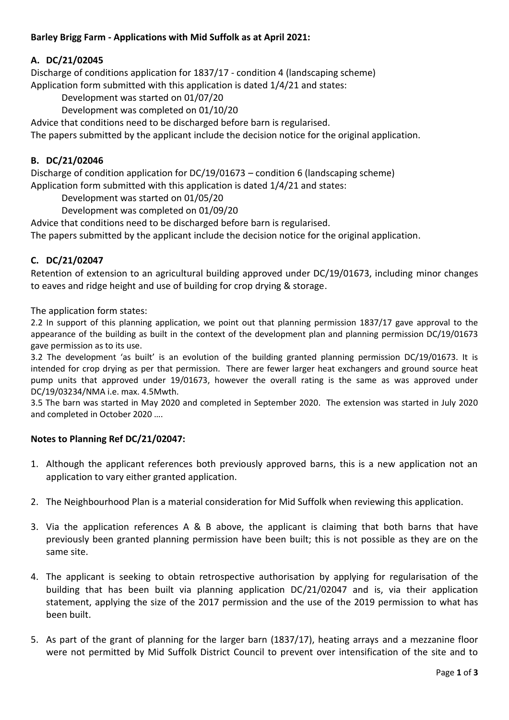## **Barley Brigg Farm - Applications with Mid Suffolk as at April 2021:**

## **A. DC/21/02045**

Discharge of conditions application for 1837/17 - condition 4 (landscaping scheme) Application form submitted with this application is dated 1/4/21 and states:

Development was started on 01/07/20

Development was completed on 01/10/20

Advice that conditions need to be discharged before barn is regularised.

The papers submitted by the applicant include the decision notice for the original application.

### **B. DC/21/02046**

Discharge of condition application for DC/19/01673 – condition 6 (landscaping scheme) Application form submitted with this application is dated 1/4/21 and states:

Development was started on 01/05/20

Development was completed on 01/09/20

Advice that conditions need to be discharged before barn is regularised.

The papers submitted by the applicant include the decision notice for the original application.

## **C. DC/21/02047**

Retention of extension to an agricultural building approved under DC/19/01673, including minor changes to eaves and ridge height and use of building for crop drying & storage.

The application form states:

2.2 In support of this planning application, we point out that planning permission 1837/17 gave approval to the appearance of the building as built in the context of the development plan and planning permission DC/19/01673 gave permission as to its use.

3.2 The development 'as built' is an evolution of the building granted planning permission DC/19/01673. It is intended for crop drying as per that permission. There are fewer larger heat exchangers and ground source heat pump units that approved under 19/01673, however the overall rating is the same as was approved under DC/19/03234/NMA i.e. max. 4.5Mwth.

3.5 The barn was started in May 2020 and completed in September 2020. The extension was started in July 2020 and completed in October 2020 ….

#### **Notes to Planning Ref DC/21/02047:**

- 1. Although the applicant references both previously approved barns, this is a new application not an application to vary either granted application.
- 2. The Neighbourhood Plan is a material consideration for Mid Suffolk when reviewing this application.
- 3. Via the application references A & B above, the applicant is claiming that both barns that have previously been granted planning permission have been built; this is not possible as they are on the same site.
- 4. The applicant is seeking to obtain retrospective authorisation by applying for regularisation of the building that has been built via planning application DC/21/02047 and is, via their application statement, applying the size of the 2017 permission and the use of the 2019 permission to what has been built.
- 5. As part of the grant of planning for the larger barn (1837/17), heating arrays and a mezzanine floor were not permitted by Mid Suffolk District Council to prevent over intensification of the site and to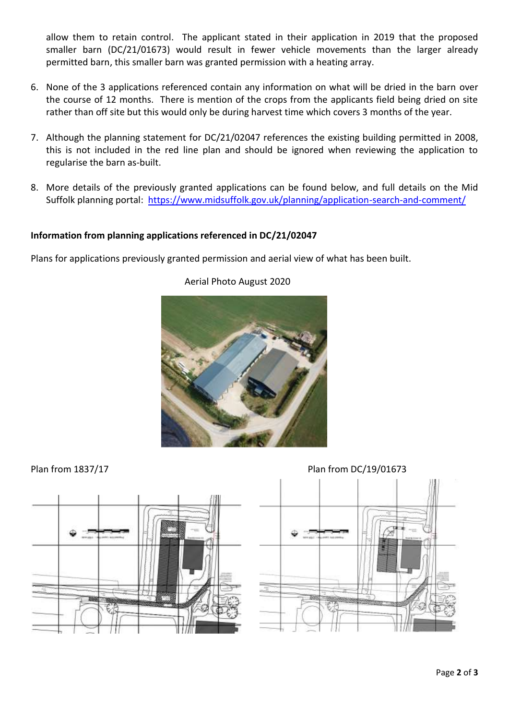allow them to retain control. The applicant stated in their application in 2019 that the proposed smaller barn (DC/21/01673) would result in fewer vehicle movements than the larger already permitted barn, this smaller barn was granted permission with a heating array.

- 6. None of the 3 applications referenced contain any information on what will be dried in the barn over the course of 12 months. There is mention of the crops from the applicants field being dried on site rather than off site but this would only be during harvest time which covers 3 months of the year.
- 7. Although the planning statement for DC/21/02047 references the existing building permitted in 2008, this is not included in the red line plan and should be ignored when reviewing the application to regularise the barn as-built.
- 8. More details of the previously granted applications can be found below, and full details on the Mid Suffolk planning portal: <https://www.midsuffolk.gov.uk/planning/application-search-and-comment/>

## **Information from planning applications referenced in DC/21/02047**

Plans for applications previously granted permission and aerial view of what has been built.



# Aerial Photo August 2020

Plan from 1837/17 Plan from DC/19/01673